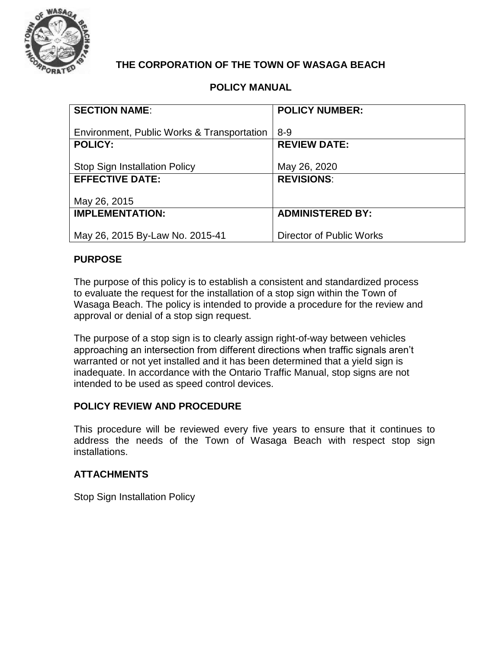

## **THE CORPORATION OF THE TOWN OF WASAGA BEACH**

### **POLICY MANUAL**

| <b>SECTION NAME:</b>                       | <b>POLICY NUMBER:</b>    |
|--------------------------------------------|--------------------------|
|                                            |                          |
| Environment, Public Works & Transportation | $8 - 9$                  |
| <b>POLICY:</b>                             | <b>REVIEW DATE:</b>      |
|                                            |                          |
| <b>Stop Sign Installation Policy</b>       | May 26, 2020             |
| <b>EFFECTIVE DATE:</b>                     | <b>REVISIONS:</b>        |
|                                            |                          |
| May 26, 2015                               |                          |
| <b>IMPLEMENTATION:</b>                     | <b>ADMINISTERED BY:</b>  |
|                                            |                          |
| May 26, 2015 By-Law No. 2015-41            | Director of Public Works |

#### **PURPOSE**

The purpose of this policy is to establish a consistent and standardized process to evaluate the request for the installation of a stop sign within the Town of Wasaga Beach. The policy is intended to provide a procedure for the review and approval or denial of a stop sign request.

The purpose of a stop sign is to clearly assign right-of-way between vehicles approaching an intersection from different directions when traffic signals aren't warranted or not yet installed and it has been determined that a yield sign is inadequate. In accordance with the Ontario Traffic Manual, stop signs are not intended to be used as speed control devices.

#### **POLICY REVIEW AND PROCEDURE**

This procedure will be reviewed every five years to ensure that it continues to address the needs of the Town of Wasaga Beach with respect stop sign installations.

#### **ATTACHMENTS**

Stop Sign Installation Policy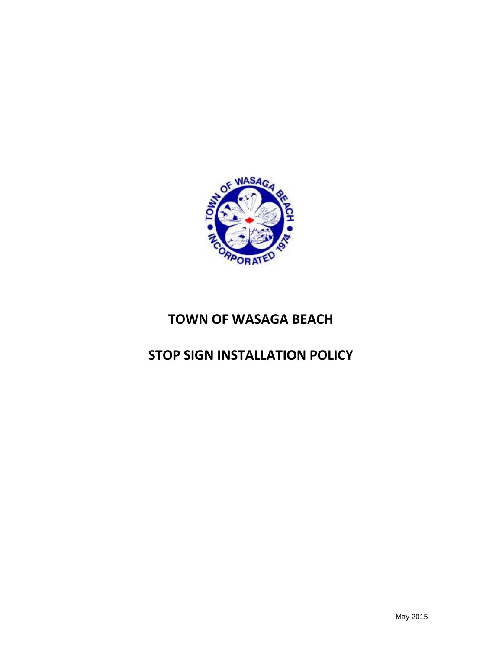

# **TOWN OF WASAGA BEACH**

# **STOP SIGN INSTALLATION POLICY**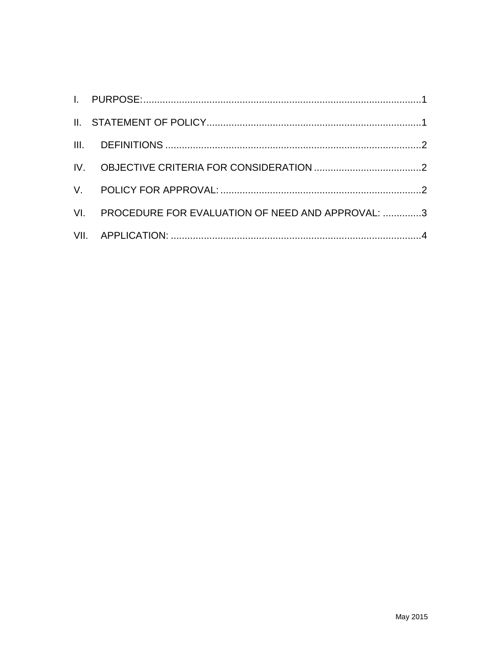| VI. PROCEDURE FOR EVALUATION OF NEED AND APPROVAL: 3 |  |
|------------------------------------------------------|--|
|                                                      |  |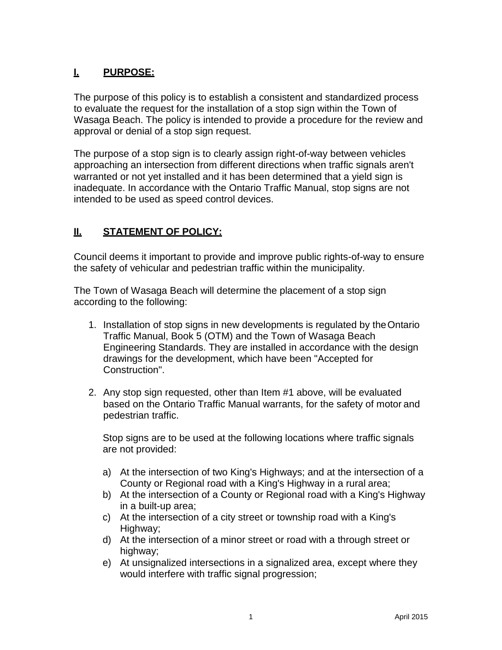## <span id="page-3-0"></span>**I. PURPOSE:**

The purpose of this policy is to establish a consistent and standardized process to evaluate the request for the installation of a stop sign within the Town of Wasaga Beach. The policy is intended to provide a procedure for the review and approval or denial of a stop sign request.

The purpose of a stop sign is to clearly assign right-of-way between vehicles approaching an intersection from different directions when traffic signals aren't warranted or not yet installed and it has been determined that a yield sign is inadequate. In accordance with the Ontario Traffic Manual, stop signs are not intended to be used as speed control devices.

## <span id="page-3-1"></span>**II. STATEMENT OF POLICY:**

Council deems it important to provide and improve public rights-of-way to ensure the safety of vehicular and pedestrian traffic within the municipality.

The Town of Wasaga Beach will determine the placement of a stop sign according to the following:

- 1. Installation of stop signs in new developments is regulated by theOntario Traffic Manual, Book 5 (OTM) and the Town of Wasaga Beach Engineering Standards. They are installed in accordance with the design drawings for the development, which have been "Accepted for Construction".
- 2. Any stop sign requested, other than Item #1 above, will be evaluated based on the Ontario Traffic Manual warrants, for the safety of motor and pedestrian traffic.

Stop signs are to be used at the following locations where traffic signals are not provided:

- a) At the intersection of two King's Highways; and at the intersection of a County or Regional road with a King's Highway in a rural area;
- b) At the intersection of a County or Regional road with a King's Highway in a built-up area;
- c) At the intersection of a city street or township road with a King's Highway;
- d) At the intersection of a minor street or road with a through street or highway;
- e) At unsignalized intersections in a signalized area, except where they would interfere with traffic signal progression;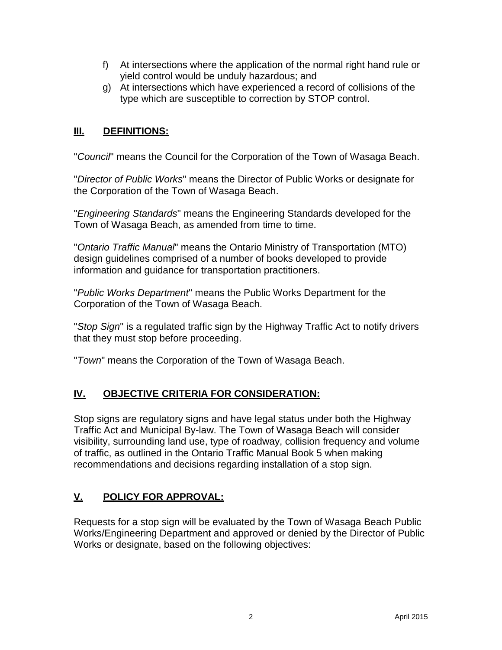- f) At intersections where the application of the normal right hand rule or yield control would be unduly hazardous; and
- g) At intersections which have experienced a record of collisions of the type which are susceptible to correction by STOP control.

## <span id="page-4-0"></span>**III. DEFINITIONS:**

"*Council*" means the Council for the Corporation of the Town of Wasaga Beach.

"*Director of Public Works*" means the Director of Public Works or designate for the Corporation of the Town of Wasaga Beach.

"*Engineering Standards*" means the Engineering Standards developed for the Town of Wasaga Beach, as amended from time to time.

"*Ontario Traffic Manual*" means the Ontario Ministry of Transportation (MTO) design guidelines comprised of a number of books developed to provide information and guidance for transportation practitioners.

"*Public Works Department*" means the Public Works Department for the Corporation of the Town of Wasaga Beach.

"*Stop Sign*" is a regulated traffic sign by the Highway Traffic Act to notify drivers that they must stop before proceeding.

"*Town*" means the Corporation of the Town of Wasaga Beach.

## <span id="page-4-1"></span>**IV. OBJECTIVE CRITERIA FOR CONSIDERATION:**

Stop signs are regulatory signs and have legal status under both the Highway Traffic Act and Municipal By-law. The Town of Wasaga Beach will consider visibility, surrounding land use, type of roadway, collision frequency and volume of traffic, as outlined in the Ontario Traffic Manual Book 5 when making recommendations and decisions regarding installation of a stop sign.

## <span id="page-4-2"></span>**V. POLICY FOR APPROVAL:**

Requests for a stop sign will be evaluated by the Town of Wasaga Beach Public Works/Engineering Department and approved or denied by the Director of Public Works or designate, based on the following objectives: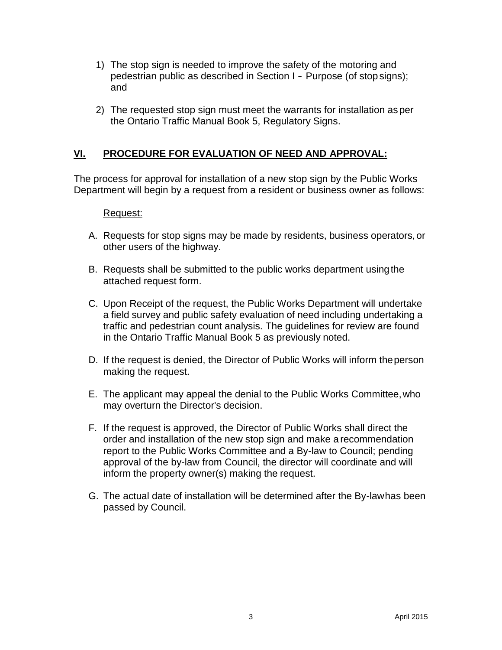- 1) The stop sign is needed to improve the safety of the motoring and pedestrian public as described in Section I - Purpose (of stopsigns); and
- 2) The requested stop sign must meet the warrants for installation as per the Ontario Traffic Manual Book 5, Regulatory Signs.

## <span id="page-5-0"></span>**VI. PROCEDURE FOR EVALUATION OF NEED AND APPROVAL:**

The process for approval for installation of a new stop sign by the Public Works Department will begin by a request from a resident or business owner as follows:

#### Request:

- A. Requests for stop signs may be made by residents, business operators, or other users of the highway.
- B. Requests shall be submitted to the public works department usingthe attached request form.
- C. Upon Receipt of the request, the Public Works Department will undertake a field survey and public safety evaluation of need including undertaking a traffic and pedestrian count analysis. The guidelines for review are found in the Ontario Traffic Manual Book 5 as previously noted.
- D. If the request is denied, the Director of Public Works will inform theperson making the request.
- E. The applicant may appeal the denial to the Public Works Committee,who may overturn the Director's decision.
- F. If the request is approved, the Director of Public Works shall direct the order and installation of the new stop sign and make a recommendation report to the Public Works Committee and a By-law to Council; pending approval of the by-law from Council, the director will coordinate and will inform the property owner(s) making the request.
- G. The actual date of installation will be determined after the By-lawhas been passed by Council.